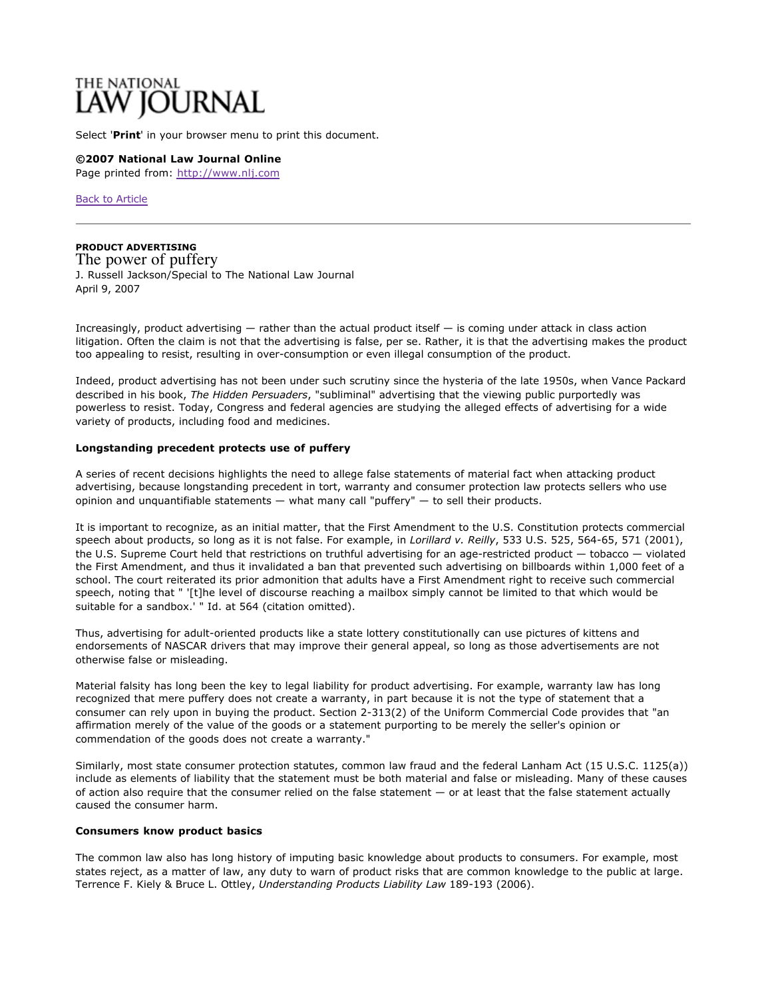# THE NATIONAL<br>**LAW JOURNAL**

Select '**Print**' in your browser menu to print this document.

**©2007 National Law Journal Online** Page printed from: http://www.nlj.com

Back to Article

**PRODUCT ADVERTISING** The power of puffery J. Russell Jackson/Special to The National Law Journal April 9, 2007

Increasingly, product advertising — rather than the actual product itself — is coming under attack in class action litigation. Often the claim is not that the advertising is false, per se. Rather, it is that the advertising makes the product too appealing to resist, resulting in over-consumption or even illegal consumption of the product.

Indeed, product advertising has not been under such scrutiny since the hysteria of the late 1950s, when Vance Packard described in his book, *The Hidden Persuaders*, "subliminal" advertising that the viewing public purportedly was powerless to resist. Today, Congress and federal agencies are studying the alleged effects of advertising for a wide variety of products, including food and medicines.

## **Longstanding precedent protects use of puffery**

A series of recent decisions highlights the need to allege false statements of material fact when attacking product advertising, because longstanding precedent in tort, warranty and consumer protection law protects sellers who use opinion and unquantifiable statements  $-$  what many call "puffery"  $-$  to sell their products.

It is important to recognize, as an initial matter, that the First Amendment to the U.S. Constitution protects commercial speech about products, so long as it is not false. For example, in *Lorillard v. Reilly*, 533 U.S. 525, 564-65, 571 (2001), the U.S. Supreme Court held that restrictions on truthful advertising for an age-restricted product — tobacco — violated the First Amendment, and thus it invalidated a ban that prevented such advertising on billboards within 1,000 feet of a school. The court reiterated its prior admonition that adults have a First Amendment right to receive such commercial speech, noting that " '[t]he level of discourse reaching a mailbox simply cannot be limited to that which would be suitable for a sandbox.' " Id. at 564 (citation omitted).

Thus, advertising for adult-oriented products like a state lottery constitutionally can use pictures of kittens and endorsements of NASCAR drivers that may improve their general appeal, so long as those advertisements are not otherwise false or misleading.

Material falsity has long been the key to legal liability for product advertising. For example, warranty law has long recognized that mere puffery does not create a warranty, in part because it is not the type of statement that a consumer can rely upon in buying the product. Section 2-313(2) of the Uniform Commercial Code provides that "an affirmation merely of the value of the goods or a statement purporting to be merely the seller's opinion or commendation of the goods does not create a warranty."

Similarly, most state consumer protection statutes, common law fraud and the federal Lanham Act (15 U.S.C. 1125(a)) include as elements of liability that the statement must be both material and false or misleading. Many of these causes of action also require that the consumer relied on the false statement  $-$  or at least that the false statement actually caused the consumer harm.

### **Consumers know product basics**

The common law also has long history of imputing basic knowledge about products to consumers. For example, most states reject, as a matter of law, any duty to warn of product risks that are common knowledge to the public at large. Terrence F. Kiely & Bruce L. Ottley, *Understanding Products Liability Law* 189-193 (2006).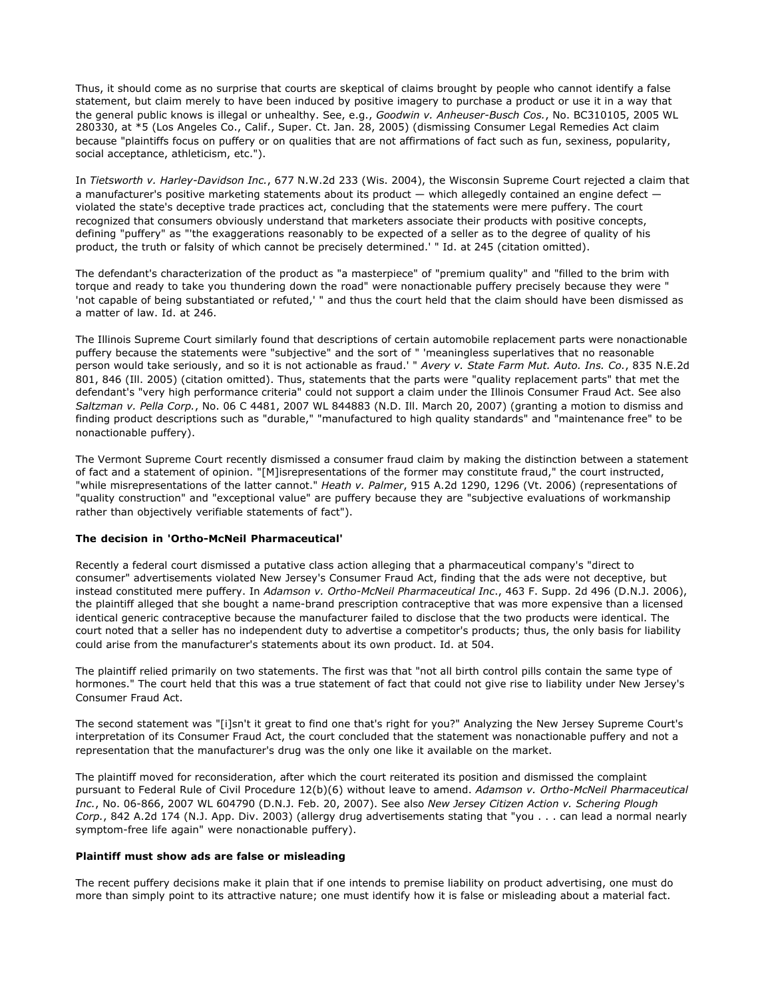Thus, it should come as no surprise that courts are skeptical of claims brought by people who cannot identify a false statement, but claim merely to have been induced by positive imagery to purchase a product or use it in a way that the general public knows is illegal or unhealthy. See, e.g., *Goodwin v. Anheuser-Busch Cos.*, No. BC310105, 2005 WL 280330, at \*5 (Los Angeles Co., Calif., Super. Ct. Jan. 28, 2005) (dismissing Consumer Legal Remedies Act claim because "plaintiffs focus on puffery or on qualities that are not affirmations of fact such as fun, sexiness, popularity, social acceptance, athleticism, etc.").

In *Tietsworth v. Harley-Davidson Inc.*, 677 N.W.2d 233 (Wis. 2004), the Wisconsin Supreme Court rejected a claim that a manufacturer's positive marketing statements about its product — which allegedly contained an engine defect violated the state's deceptive trade practices act, concluding that the statements were mere puffery. The court recognized that consumers obviously understand that marketers associate their products with positive concepts, defining "puffery" as "'the exaggerations reasonably to be expected of a seller as to the degree of quality of his product, the truth or falsity of which cannot be precisely determined.' " Id. at 245 (citation omitted).

The defendant's characterization of the product as "a masterpiece" of "premium quality" and "filled to the brim with torque and ready to take you thundering down the road" were nonactionable puffery precisely because they were " 'not capable of being substantiated or refuted,' " and thus the court held that the claim should have been dismissed as a matter of law. Id. at 246.

The Illinois Supreme Court similarly found that descriptions of certain automobile replacement parts were nonactionable puffery because the statements were "subjective" and the sort of " 'meaningless superlatives that no reasonable person would take seriously, and so it is not actionable as fraud.' " *Avery v. State Farm Mut. Auto. Ins. Co.*, 835 N.E.2d 801, 846 (Ill. 2005) (citation omitted). Thus, statements that the parts were "quality replacement parts" that met the defendant's "very high performance criteria" could not support a claim under the Illinois Consumer Fraud Act. See also *Saltzman v. Pella Corp.*, No. 06 C 4481, 2007 WL 844883 (N.D. Ill. March 20, 2007) (granting a motion to dismiss and finding product descriptions such as "durable," "manufactured to high quality standards" and "maintenance free" to be nonactionable puffery).

The Vermont Supreme Court recently dismissed a consumer fraud claim by making the distinction between a statement of fact and a statement of opinion. "[M]isrepresentations of the former may constitute fraud," the court instructed, "while misrepresentations of the latter cannot." *Heath v. Palmer*, 915 A.2d 1290, 1296 (Vt. 2006) (representations of "quality construction" and "exceptional value" are puffery because they are "subjective evaluations of workmanship rather than objectively verifiable statements of fact").

### **The decision in 'Ortho-McNeil Pharmaceutical'**

Recently a federal court dismissed a putative class action alleging that a pharmaceutical company's "direct to consumer" advertisements violated New Jersey's Consumer Fraud Act, finding that the ads were not deceptive, but instead constituted mere puffery. In *Adamson v. Ortho-McNeil Pharmaceutical Inc*., 463 F. Supp. 2d 496 (D.N.J. 2006), the plaintiff alleged that she bought a name-brand prescription contraceptive that was more expensive than a licensed identical generic contraceptive because the manufacturer failed to disclose that the two products were identical. The court noted that a seller has no independent duty to advertise a competitor's products; thus, the only basis for liability could arise from the manufacturer's statements about its own product. Id. at 504.

The plaintiff relied primarily on two statements. The first was that "not all birth control pills contain the same type of hormones." The court held that this was a true statement of fact that could not give rise to liability under New Jersey's Consumer Fraud Act.

The second statement was "[i]sn't it great to find one that's right for you?" Analyzing the New Jersey Supreme Court's interpretation of its Consumer Fraud Act, the court concluded that the statement was nonactionable puffery and not a representation that the manufacturer's drug was the only one like it available on the market.

The plaintiff moved for reconsideration, after which the court reiterated its position and dismissed the complaint pursuant to Federal Rule of Civil Procedure 12(b)(6) without leave to amend. *Adamson v. Ortho-McNeil Pharmaceutical Inc.*, No. 06-866, 2007 WL 604790 (D.N.J. Feb. 20, 2007). See also *New Jersey Citizen Action v. Schering Plough Corp.*, 842 A.2d 174 (N.J. App. Div. 2003) (allergy drug advertisements stating that "you . . . can lead a normal nearly symptom-free life again" were nonactionable puffery).

### **Plaintiff must show ads are false or misleading**

The recent puffery decisions make it plain that if one intends to premise liability on product advertising, one must do more than simply point to its attractive nature; one must identify how it is false or misleading about a material fact.